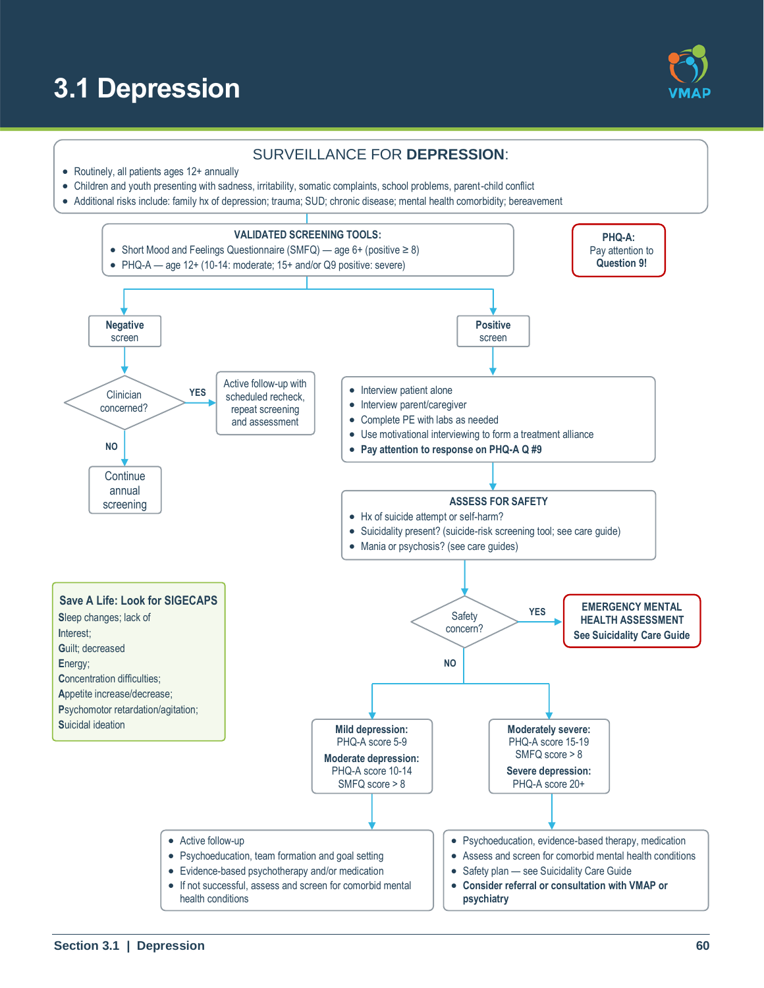# **3.1 Depression**



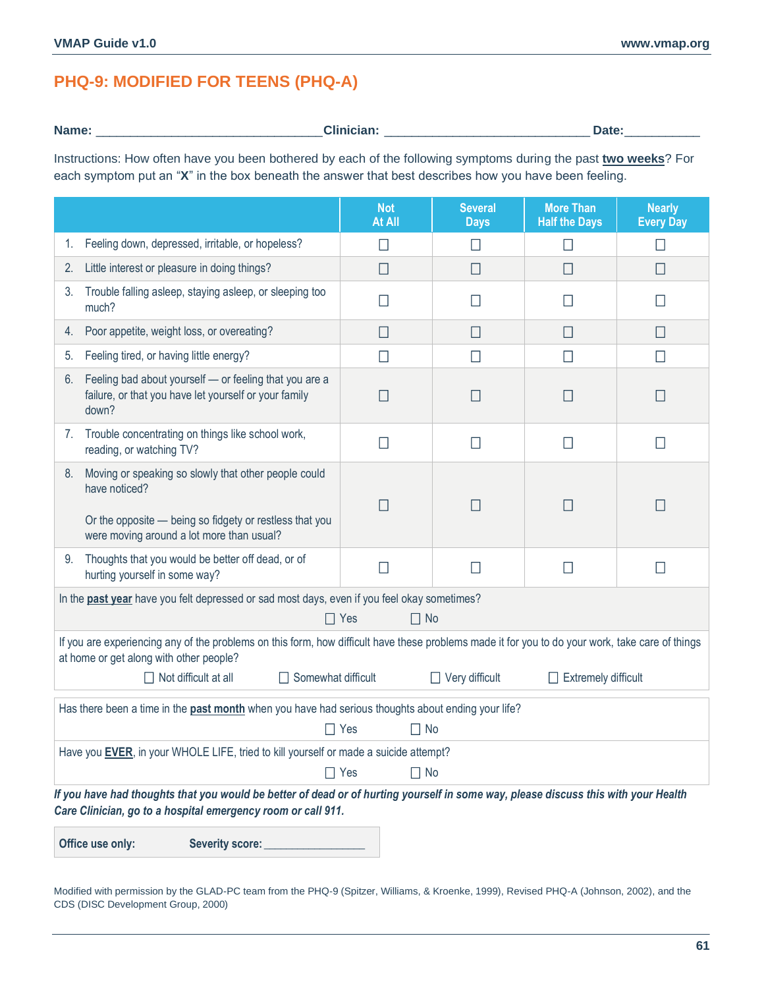# **PHQ-9: MODIFIED FOR TEENS (PHQ-A)**

**Name:** \_\_\_\_\_\_\_\_\_\_\_\_\_\_\_\_\_\_\_\_\_\_\_\_\_\_\_\_\_\_\_\_\_**Clinician:** \_\_\_\_\_\_\_\_\_\_\_\_\_\_\_\_\_\_\_\_\_\_\_\_\_\_\_\_\_\_ **Date:**\_\_\_\_\_\_\_\_\_\_\_

Instructions: How often have you been bothered by each of the following symptoms during the past **two weeks**? For each symptom put an "**X**" in the box beneath the answer that best describes how you have been feeling.

|                                                                                                                                                                                                    | <b>Not</b><br>At All    | <b>Several</b><br><b>Days</b> | <b>More Than</b><br><b>Half the Days</b> | <b>Nearly</b><br><b>Every Day</b> |  |  |
|----------------------------------------------------------------------------------------------------------------------------------------------------------------------------------------------------|-------------------------|-------------------------------|------------------------------------------|-----------------------------------|--|--|
| Feeling down, depressed, irritable, or hopeless?<br>1.                                                                                                                                             | $\Box$                  | $\Box$                        | $\Box$                                   | $\Box$                            |  |  |
| Little interest or pleasure in doing things?<br>2.                                                                                                                                                 | П                       | $\Box$                        | $\Box$                                   | $\Box$                            |  |  |
| Trouble falling asleep, staying asleep, or sleeping too<br>3.<br>much?                                                                                                                             | П                       | $\mathsf{L}$                  | $\mathsf{L}$                             | $\mathsf{L}$                      |  |  |
| Poor appetite, weight loss, or overeating?<br>4.                                                                                                                                                   | $\Box$                  | $\Box$                        | $\Box$                                   | $\Box$                            |  |  |
| Feeling tired, or having little energy?<br>5.                                                                                                                                                      | П                       | П                             | П                                        | $\Box$                            |  |  |
| Feeling bad about yourself - or feeling that you are a<br>6.<br>failure, or that you have let yourself or your family<br>down?                                                                     | П                       | $\mathsf{L}$                  |                                          |                                   |  |  |
| Trouble concentrating on things like school work,<br>7.<br>reading, or watching TV?                                                                                                                | П                       | $\mathsf{L}$                  |                                          |                                   |  |  |
| Moving or speaking so slowly that other people could<br>8.<br>have noticed?<br>Or the opposite - being so fidgety or restless that you<br>were moving around a lot more than usual?                | $\Box$                  | $\mathsf{L}$                  | П                                        | Ш                                 |  |  |
| Thoughts that you would be better off dead, or of<br>9.<br>hurting yourself in some way?                                                                                                           | $\Box$                  | □                             | $\Box$                                   | $\Box$                            |  |  |
| In the past year have you felt depressed or sad most days, even if you feel okay sometimes?<br>$\Box$ No<br>$\Box$ Yes                                                                             |                         |                               |                                          |                                   |  |  |
| If you are experiencing any of the problems on this form, how difficult have these problems made it for you to do your work, take care of things<br>at home or get along with other people?        |                         |                               |                                          |                                   |  |  |
| $\Box$ Not difficult at all<br>$\Box$ Somewhat difficult<br>$\Box$ Very difficult<br>$\Box$ Extremely difficult                                                                                    |                         |                               |                                          |                                   |  |  |
| Has there been a time in the past month when you have had serious thoughts about ending your life?<br>$\Box$ No<br>$\Box$ Yes                                                                      |                         |                               |                                          |                                   |  |  |
| Have you EVER, in your WHOLE LIFE, tried to kill yourself or made a suicide attempt?                                                                                                               |                         |                               |                                          |                                   |  |  |
|                                                                                                                                                                                                    | $\Box$ No<br>$\Box$ Yes |                               |                                          |                                   |  |  |
| If you have had thoughts that you would be better of dead or of hurting yourself in some way, please discuss this with your Health<br>Care Clinician, go to a hospital emergency room or call 911. |                         |                               |                                          |                                   |  |  |

**Office use only: Severity score: \_\_\_\_\_\_\_\_\_\_\_\_\_\_\_\_\_\_**

Modified with permission by the GLAD-PC team from the PHQ-9 (Spitzer, Williams, & Kroenke, 1999), Revised PHQ-A (Johnson, 2002), and the CDS (DISC Development Group, 2000)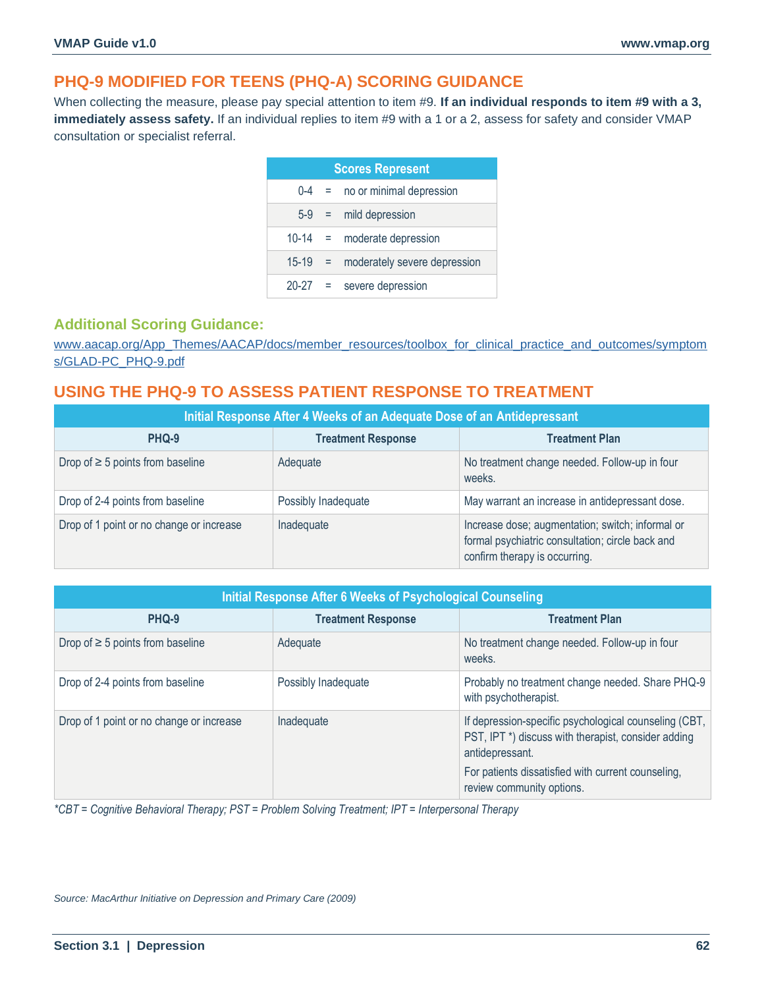# **PHQ-9 MODIFIED FOR TEENS (PHQ-A) SCORING GUIDANCE**

When collecting the measure, please pay special attention to item #9. **If an individual responds to item #9 with a 3, immediately assess safety.** If an individual replies to item #9 with a 1 or a 2, assess for safety and consider VMAP consultation or specialist referral.

| <b>Scores Represent</b> |            |                              |  |
|-------------------------|------------|------------------------------|--|
| $0 - 4$                 | and the    | no or minimal depression     |  |
| $5-9$                   | im a       | mild depression              |  |
| $10 - 14$               | $\equiv$   | moderate depression          |  |
| $15 - 19$               | $\equiv$ . | moderately severe depression |  |
| 20-27                   | $=$        | severe depression            |  |

### **Additional Scoring Guidance:**

[www.aacap.org/App\\_Themes/AACAP/docs/member\\_resources/toolbox\\_for\\_clinical\\_practice\\_and\\_outcomes/symptom](https://www.aacap.org/App_Themes/AACAP/docs/member_resources/toolbox_for_clinical_practice_and_outcomes/symptoms/GLAD-PC_PHQ-9.pdf) [s/GLAD-PC\\_PHQ-9.pdf](https://www.aacap.org/App_Themes/AACAP/docs/member_resources/toolbox_for_clinical_practice_and_outcomes/symptoms/GLAD-PC_PHQ-9.pdf)

# **USING THE PHQ-9 TO ASSESS PATIENT RESPONSE TO TREATMENT**

| Initial Response After 4 Weeks of an Adequate Dose of an Antidepressant |                           |                                                                                                                                       |  |  |
|-------------------------------------------------------------------------|---------------------------|---------------------------------------------------------------------------------------------------------------------------------------|--|--|
| PHQ-9                                                                   | <b>Treatment Response</b> | <b>Treatment Plan</b>                                                                                                                 |  |  |
| Drop of $\geq$ 5 points from baseline                                   | Adequate                  | No treatment change needed. Follow-up in four<br>weeks.                                                                               |  |  |
| Drop of 2-4 points from baseline                                        | Possibly Inadequate       | May warrant an increase in antidepressant dose.                                                                                       |  |  |
| Drop of 1 point or no change or increase                                | Inadequate                | Increase dose; augmentation; switch; informal or<br>formal psychiatric consultation; circle back and<br>confirm therapy is occurring. |  |  |

| Initial Response After 6 Weeks of Psychological Counseling |                           |                                                                                                                                             |  |  |
|------------------------------------------------------------|---------------------------|---------------------------------------------------------------------------------------------------------------------------------------------|--|--|
| PHQ-9                                                      | <b>Treatment Response</b> | <b>Treatment Plan</b>                                                                                                                       |  |  |
| Drop of $\geq$ 5 points from baseline                      | Adequate                  | No treatment change needed. Follow-up in four<br>weeks.                                                                                     |  |  |
| Drop of 2-4 points from baseline                           | Possibly Inadequate       | Probably no treatment change needed. Share PHQ-9<br>with psychotherapist.                                                                   |  |  |
| Drop of 1 point or no change or increase                   | Inadequate                | If depression-specific psychological counseling (CBT,<br>PST, IPT <sup>*</sup> ) discuss with therapist, consider adding<br>antidepressant. |  |  |
|                                                            |                           | For patients dissatisfied with current counseling,<br>review community options.                                                             |  |  |

*\*CBT = Cognitive Behavioral Therapy; PST = Problem Solving Treatment; IPT = Interpersonal Therapy*

*Source: MacArthur Initiative on Depression and Primary Care (2009)*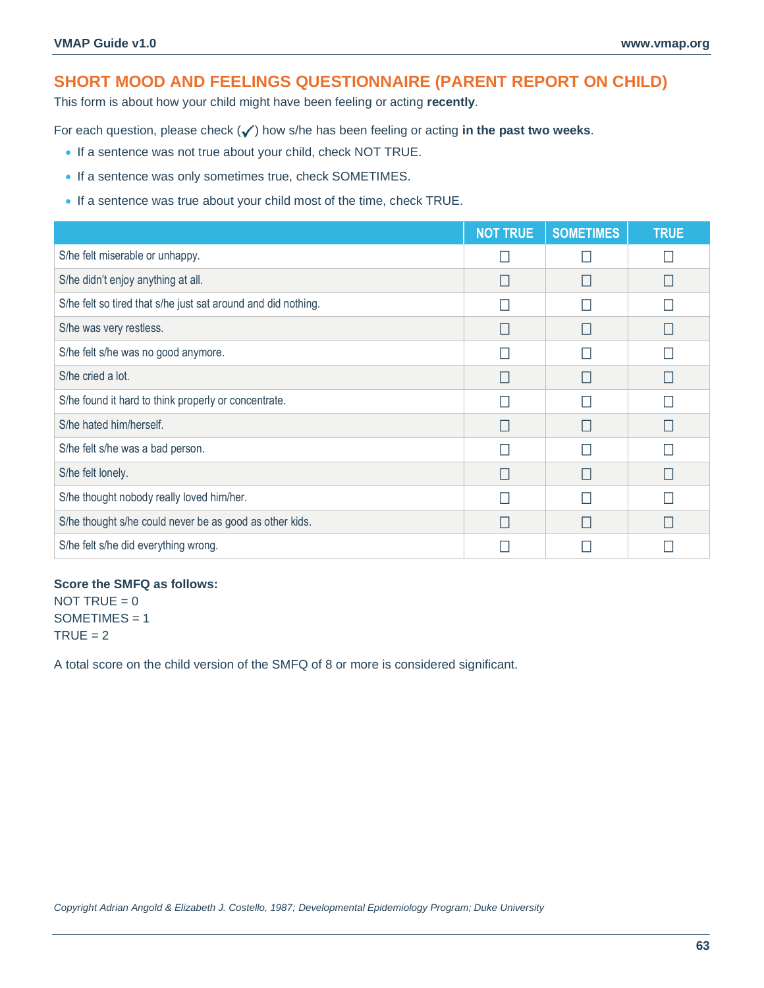# **SHORT MOOD AND FEELINGS QUESTIONNAIRE (PARENT REPORT ON CHILD)**

This form is about how your child might have been feeling or acting **recently**.

For each question, please check ( $\checkmark$ ) how s/he has been feeling or acting in the past two weeks.

- If a sentence was not true about your child, check NOT TRUE.
- If a sentence was only sometimes true, check SOMETIMES.
- If a sentence was true about your child most of the time, check TRUE.

|                                                               | <b>NOT TRUE</b> | <b>SOMETIMES</b> | <b>TRUE</b> |
|---------------------------------------------------------------|-----------------|------------------|-------------|
| S/he felt miserable or unhappy.                               |                 |                  |             |
| S/he didn't enjoy anything at all.                            |                 |                  |             |
| S/he felt so tired that s/he just sat around and did nothing. |                 |                  |             |
| S/he was very restless.                                       |                 | L                |             |
| S/he felt s/he was no good anymore.                           |                 |                  |             |
| S/he cried a lot.                                             |                 |                  |             |
| S/he found it hard to think properly or concentrate.          |                 |                  |             |
| S/he hated him/herself.                                       |                 |                  |             |
| S/he felt s/he was a bad person.                              |                 |                  |             |
| S/he felt lonely.                                             |                 | L                |             |
| S/he thought nobody really loved him/her.                     |                 |                  |             |
| S/he thought s/he could never be as good as other kids.       |                 |                  |             |
| S/he felt s/he did everything wrong.                          |                 |                  |             |

#### **Score the SMFQ as follows:**

NOT TRUE  $= 0$  $SOMETIMES = 1$  $TRUE = 2$ 

A total score on the child version of the SMFQ of 8 or more is considered significant.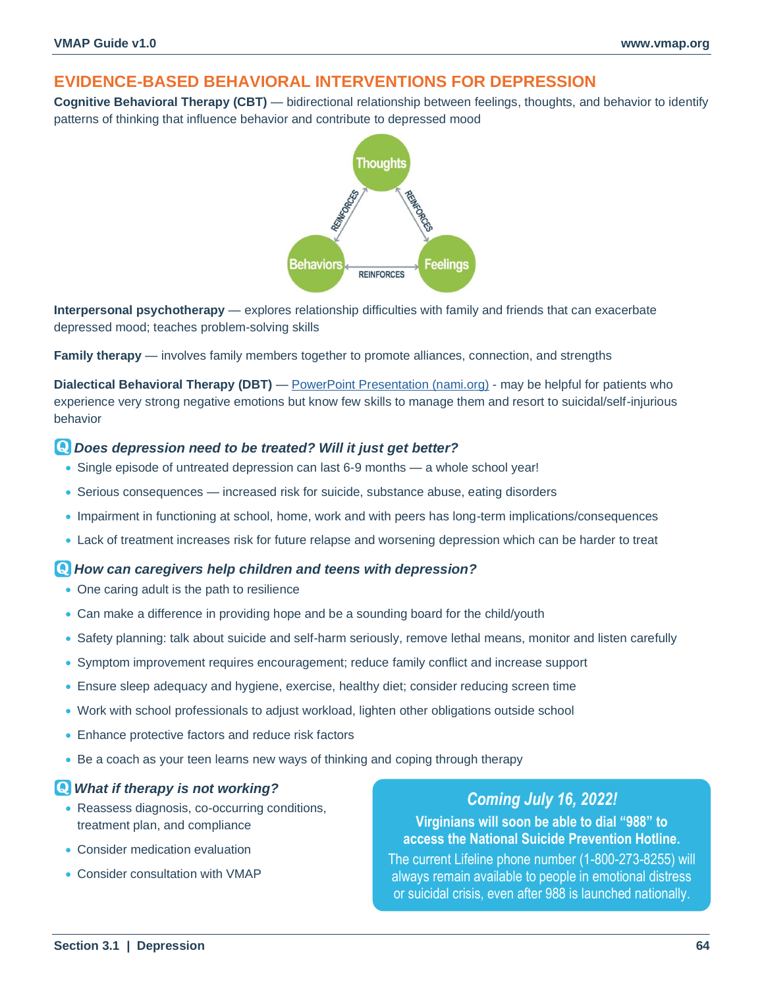# **EVIDENCE-BASED BEHAVIORAL INTERVENTIONS FOR DEPRESSION**

**Cognitive Behavioral Therapy (CBT)** — bidirectional relationship between feelings, thoughts, and behavior to identify patterns of thinking that influence behavior and contribute to depressed mood



**Interpersonal psychotherapy** — explores relationship difficulties with family and friends that can exacerbate depressed mood; teaches problem-solving skills

**Family therapy** — involves family members together to promote alliances, connection, and strengths

**Dialectical Behavioral Therapy (DBT)** — [PowerPoint Presentation \(nami.org\)](https://www.nami.org/getattachment/Get-Involved/NAMI-National-Convention/2015-Convention-Presentation-Slides-and-Resources/B-3-Dialectical-Behavior-Therapy-with-Adolescents.pdf) - may be helpful for patients who experience very strong negative emotions but know few skills to manage them and resort to suicidal/self-injurious behavior

### *Does depression need to be treated? Will it just get better?*

- Single episode of untreated depression can last 6-9 months a whole school year!
- Serious consequences increased risk for suicide, substance abuse, eating disorders
- Impairment in functioning at school, home, work and with peers has long-term implications/consequences
- Lack of treatment increases risk for future relapse and worsening depression which can be harder to treat

### *How can caregivers help children and teens with depression?*

- One caring adult is the path to resilience
- Can make a difference in providing hope and be a sounding board for the child/youth
- Safety planning: talk about suicide and self-harm seriously, remove lethal means, monitor and listen carefully
- Symptom improvement requires encouragement; reduce family conflict and increase support
- Ensure sleep adequacy and hygiene, exercise, healthy diet; consider reducing screen time
- Work with school professionals to adjust workload, lighten other obligations outside school
- Enhance protective factors and reduce risk factors
- Be a coach as your teen learns new ways of thinking and coping through therapy

### *What if therapy is not working?*

- Reassess diagnosis, co-occurring conditions, treatment plan, and compliance
- Consider medication evaluation
- Consider consultation with VMAP

### *Coming July 16, 2022!*

**Virginians will soon be able to dial "988" to access the National Suicide Prevention Hotline.**

The current Lifeline phone number (1-800-273-8255) will always remain available to people in emotional distress or suicidal crisis, even after 988 is launched nationally.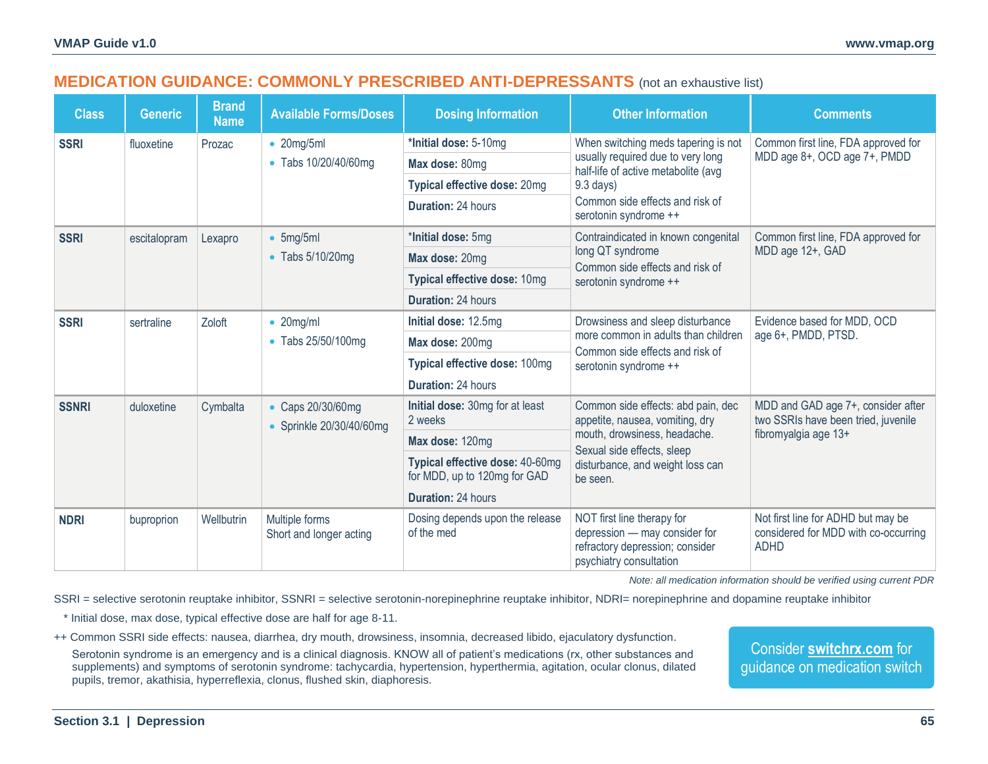# **MEDICATION GUIDANCE: COMMONLY PRESCRIBED ANTI-DEPRESSANTS** (not an exhaustive list)

<span id="page-5-0"></span>

| <b>Class</b> | <b>Generic</b> | <b>Brand</b><br><b>Name</b> | <b>Available Forms/Doses</b>                | <b>Dosing Information</b>                                       | <b>Other Information</b>                                                                                                  | <b>Comments</b>                                                                           |  |
|--------------|----------------|-----------------------------|---------------------------------------------|-----------------------------------------------------------------|---------------------------------------------------------------------------------------------------------------------------|-------------------------------------------------------------------------------------------|--|
| <b>SSRI</b>  | fluoxetine     | Prozac                      | $\bullet$ 20mg/5ml                          | *Initial dose: 5-10mg                                           | When switching meds tapering is not                                                                                       | Common first line, FDA approved for<br>MDD age 8+, OCD age 7+, PMDD                       |  |
|              |                |                             | • Tabs 10/20/40/60mg                        | Max dose: 80mg                                                  | usually required due to very long<br>half-life of active metabolite (avg                                                  |                                                                                           |  |
|              |                |                             |                                             | Typical effective dose: 20mg                                    | $9.3$ days)                                                                                                               |                                                                                           |  |
|              |                |                             |                                             | Duration: 24 hours                                              | Common side effects and risk of<br>serotonin syndrome ++                                                                  |                                                                                           |  |
| <b>SSRI</b>  | escitalopram   | Lexapro                     | 5mg/5ml<br>$\bullet$                        | *Initial dose: 5mg                                              | Contraindicated in known congenital                                                                                       | Common first line, FDA approved for                                                       |  |
|              |                |                             | • Tabs 5/10/20mg                            | Max dose: 20mg                                                  | long QT syndrome<br>Common side effects and risk of                                                                       | MDD age 12+, GAD                                                                          |  |
|              |                |                             |                                             | Typical effective dose: 10mg                                    | serotonin syndrome ++                                                                                                     |                                                                                           |  |
|              |                |                             |                                             | <b>Duration: 24 hours</b>                                       |                                                                                                                           |                                                                                           |  |
| <b>SSRI</b>  | sertraline     | Zoloft                      | $\bullet$ 20mg/ml                           | Initial dose: 12.5mg                                            | Drowsiness and sleep disturbance                                                                                          | Evidence based for MDD, OCD                                                               |  |
|              |                |                             | • Tabs 25/50/100mg                          | Max dose: 200mg                                                 | more common in adults than children<br>Common side effects and risk of                                                    | age 6+, PMDD, PTSD.                                                                       |  |
|              |                |                             |                                             | Typical effective dose: 100mg                                   | serotonin syndrome ++                                                                                                     |                                                                                           |  |
|              |                |                             |                                             | <b>Duration: 24 hours</b>                                       |                                                                                                                           |                                                                                           |  |
| <b>SSNRI</b> | duloxetine     | Cymbalta                    | • Caps 20/30/60mg<br>Sprinkle 20/30/40/60mg | Initial dose: 30mg for at least<br>2 weeks                      | Common side effects: abd pain, dec<br>appetite, nausea, vomiting, dry                                                     | MDD and GAD age 7+, consider after<br>two SSRIs have been tried, juvenile                 |  |
|              |                |                             |                                             | Max dose: 120mg                                                 | mouth, drowsiness, headache.<br>Sexual side effects, sleep                                                                | fibromyalgia age 13+                                                                      |  |
|              |                |                             |                                             | Typical effective dose: 40-60mg<br>for MDD, up to 120mg for GAD | disturbance, and weight loss can<br>be seen.                                                                              |                                                                                           |  |
|              |                |                             |                                             | <b>Duration: 24 hours</b>                                       |                                                                                                                           |                                                                                           |  |
| <b>NDRI</b>  | buproprion     | Wellbutrin                  | Multiple forms<br>Short and longer acting   | Dosing depends upon the release<br>of the med                   | NOT first line therapy for<br>depression - may consider for<br>refractory depression; consider<br>psychiatry consultation | Not first line for ADHD but may be<br>considered for MDD with co-occurring<br><b>ADHD</b> |  |

*Note: all medication information should be verified using current PDR*

SSRI = selective serotonin reuptake inhibitor, SSNRI = selective serotonin-norepinephrine reuptake inhibitor, NDRI= norepinephrine and dopamine reuptake inhibitor

\* Initial dose, max dose, typical effective dose are half for age 8-11.

++ Common SSRI side effects: nausea, diarrhea, dry mouth, drowsiness, insomnia, decreased libido, ejaculatory dysfunction.

Serotonin syndrome is an emergency and is a clinical diagnosis. KNOW all of patient's medications (rx, other substances and supplements) and symptoms of serotonin syndrome: tachycardia, hypertension, hyperthermia, agitation, ocular clonus, dilated pupils, tremor, akathisia, hyperreflexia, clonus, flushed skin, diaphoresis.

Consider **[switchrx.com](https://switchrx.com/)** for guidance on medication switch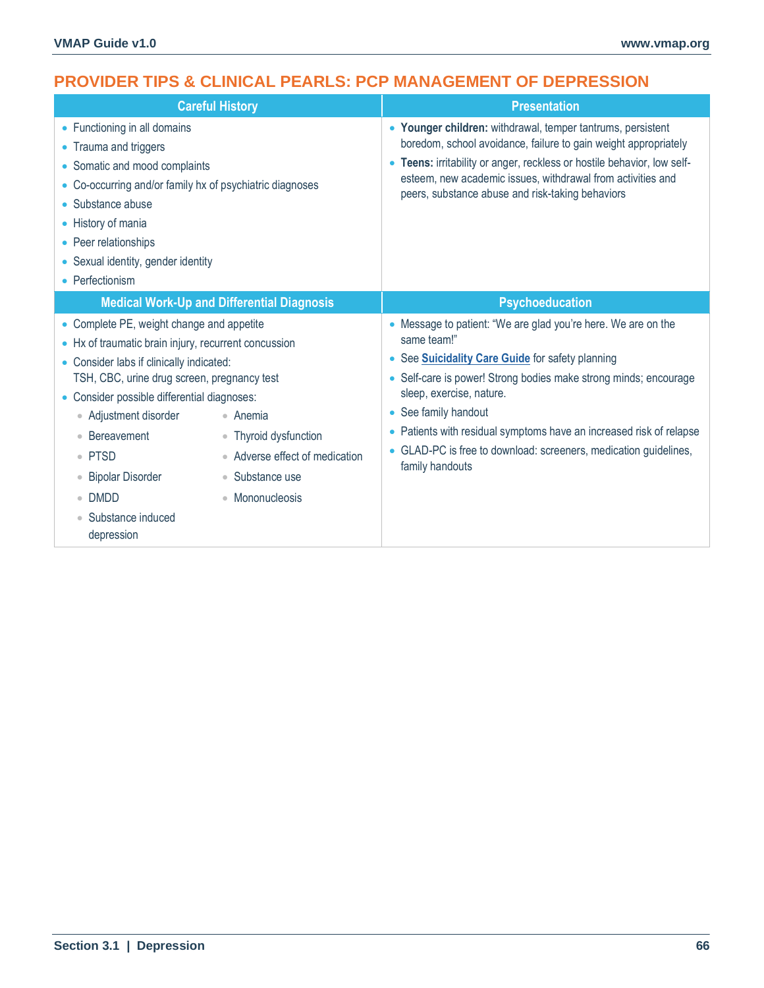# **PROVIDER TIPS & CLINICAL PEARLS: PCP MANAGEMENT OF DEPRESSION**

| <b>Careful History</b>                                                                                                                                                                                                                                                                                                                                                                                                                                                                                                                                                                                                          | <b>Presentation</b>                                                                                                                                                                                                                                                                                                                                                                                                                      |
|---------------------------------------------------------------------------------------------------------------------------------------------------------------------------------------------------------------------------------------------------------------------------------------------------------------------------------------------------------------------------------------------------------------------------------------------------------------------------------------------------------------------------------------------------------------------------------------------------------------------------------|------------------------------------------------------------------------------------------------------------------------------------------------------------------------------------------------------------------------------------------------------------------------------------------------------------------------------------------------------------------------------------------------------------------------------------------|
| • Functioning in all domains<br>• Trauma and triggers<br>• Somatic and mood complaints<br>• Co-occurring and/or family hx of psychiatric diagnoses<br>• Substance abuse<br>• History of mania<br>• Peer relationships<br>• Sexual identity, gender identity<br>• Perfectionism                                                                                                                                                                                                                                                                                                                                                  | • Younger children: withdrawal, temper tantrums, persistent<br>boredom, school avoidance, failure to gain weight appropriately<br>Teens: irritability or anger, reckless or hostile behavior, low self-<br>$\bullet$<br>esteem, new academic issues, withdrawal from activities and<br>peers, substance abuse and risk-taking behaviors                                                                                                  |
| <b>Medical Work-Up and Differential Diagnosis</b>                                                                                                                                                                                                                                                                                                                                                                                                                                                                                                                                                                               | <b>Psychoeducation</b>                                                                                                                                                                                                                                                                                                                                                                                                                   |
| • Complete PE, weight change and appetite<br>• Hx of traumatic brain injury, recurrent concussion<br>• Consider labs if clinically indicated:<br>TSH, CBC, urine drug screen, pregnancy test<br>• Consider possible differential diagnoses:<br>Adjustment disorder<br>• Anemia<br>$\hfill \textcircled{.}$<br>Bereavement<br>• Thyroid dysfunction<br>$\bullet$ PTSD<br>Adverse effect of medication<br>$\begin{array}{c} \bullet \\ \bullet \end{array}$<br><b>Bipolar Disorder</b><br>Substance use<br>$\bullet$<br>$\color{black} \bullet$<br><b>DMDD</b><br>• Mononucleosis<br>$\bullet$<br>Substance induced<br>depression | • Message to patient: "We are glad you're here. We are on the<br>same team!"<br>See <b>Suicidality Care Guide</b> for safety planning<br>$\bullet$<br>• Self-care is power! Strong bodies make strong minds; encourage<br>sleep, exercise, nature.<br>• See family handout<br>• Patients with residual symptoms have an increased risk of relapse<br>• GLAD-PC is free to download: screeners, medication guidelines,<br>family handouts |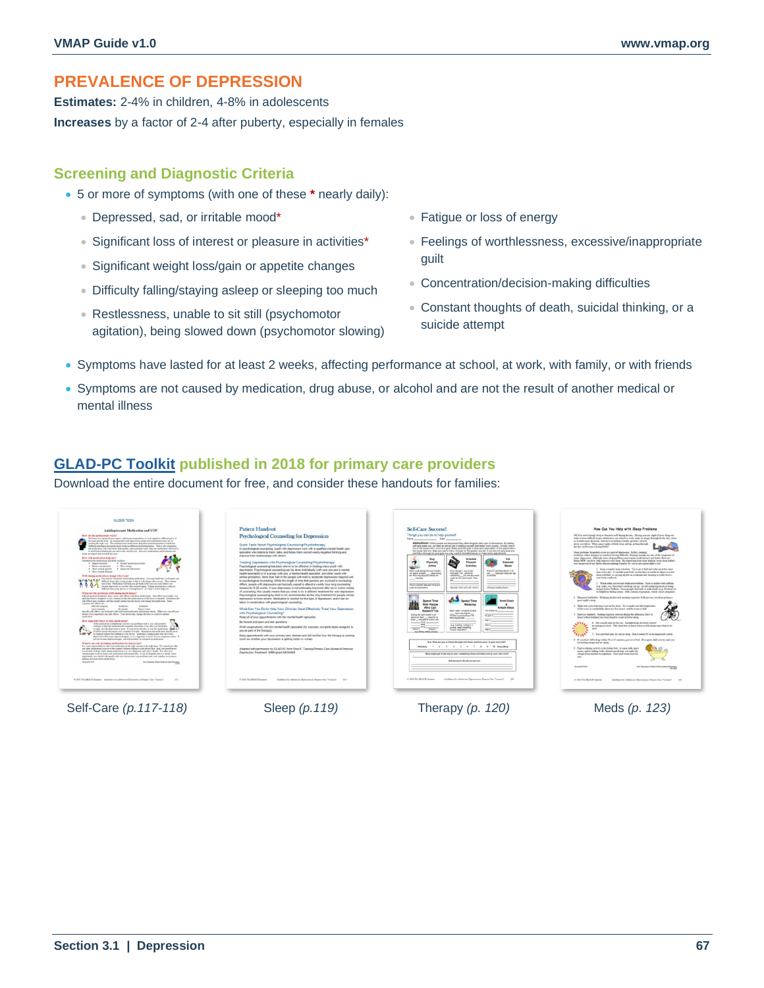# **PREVALENCE OF DEPRESSION**

**Estimates:** 2-4% in children, 4-8% in adolescents **Increases** by a factor of 2-4 after puberty, especially in females

### **Screening and Diagnostic Criteria**

- 5 or more of symptoms (with one of these **\*** nearly daily):
	- Depressed, sad, or irritable mood\*
	- Significant loss of interest or pleasure in activities\*
	- Significant weight loss/gain or appetite changes
	- Difficulty falling/staying asleep or sleeping too much
	- Restlessness, unable to sit still (psychomotor agitation), being slowed down (psychomotor slowing)
- Fatigue or loss of energy
- Feelings of worthlessness, excessive/inappropriate guilt
- Concentration/decision-making difficulties
- Constant thoughts of death, suicidal thinking, or a suicide attempt
- Symptoms have lasted for at least 2 weeks, affecting performance at school, at work, with family, or with friends
- Symptoms are not caused by medication, drug abuse, or alcohol and are not the result of another medical or mental illness

## **[GLAD-PC Toolkit](https://www.thereachinstitute.org/wp-content/uploads/2021/08/glad-pc-toolkit-2018.pdf) published in 2018 for primary care providers**

Download the entire document for free, and consider these handouts for families:

| How Can You Help with Sleep Problems                                                                                                                                                                                                                                                                                                                                                                                                                                                                                                                                                                                                                                                                                                                                                                                                                                                                                                                                                                                                                                                                                                                                                                                                                                                                                                                                                                                                                                                                                                                                                                                                                                                                                                                                                                                                                                                                                                                                                                                                                                                                                                                                                                                                                                                                                                                                                                                                                                                                                                                                                                                                                                                                                                                                                                                                                                                                                                                                                                                                                                                                                                                                                                                                                                                                                                                                                                                                                                                                                                                                                                                                                                                                                                                                                                                                                                                                                                                                                                                                                                                                                                                            |
|-----------------------------------------------------------------------------------------------------------------------------------------------------------------------------------------------------------------------------------------------------------------------------------------------------------------------------------------------------------------------------------------------------------------------------------------------------------------------------------------------------------------------------------------------------------------------------------------------------------------------------------------------------------------------------------------------------------------------------------------------------------------------------------------------------------------------------------------------------------------------------------------------------------------------------------------------------------------------------------------------------------------------------------------------------------------------------------------------------------------------------------------------------------------------------------------------------------------------------------------------------------------------------------------------------------------------------------------------------------------------------------------------------------------------------------------------------------------------------------------------------------------------------------------------------------------------------------------------------------------------------------------------------------------------------------------------------------------------------------------------------------------------------------------------------------------------------------------------------------------------------------------------------------------------------------------------------------------------------------------------------------------------------------------------------------------------------------------------------------------------------------------------------------------------------------------------------------------------------------------------------------------------------------------------------------------------------------------------------------------------------------------------------------------------------------------------------------------------------------------------------------------------------------------------------------------------------------------------------------------------------------------------------------------------------------------------------------------------------------------------------------------------------------------------------------------------------------------------------------------------------------------------------------------------------------------------------------------------------------------------------------------------------------------------------------------------------------------------------------------------------------------------------------------------------------------------------------------------------------------------------------------------------------------------------------------------------------------------------------------------------------------------------------------------------------------------------------------------------------------------------------------------------------------------------------------------------------------------------------------------------------------------------------------------------------------------------------------------------------------------------------------------------------------------------------------------------------------------------------------------------------------------------------------------------------------------------------------------------------------------------------------------------------------------------------------------------------------------------------------------------------------------------------------|
| Things you can do to help yourself.<br>All of to used roomly done to financian well-during the day. Having just one sight of poor slow can<br>sade it ways Afford to per attention to me wheel or work, make us doney throughout the day, cleans<br>as hypothe near deceipsy, and becomes feeling unrable, accords; allowed<br>Instructions: Inhan payak are depressed they often forget to lake care of themselves. By setting<br>denne or centless. When more eights of little sines will up, petting through<br>self-care goals you can take an active into in helping yourself feel beller more quickly. Choose one or<br>the decoup because a looker battle!<br>fuck of the ansas better and set a post. Make sure the goal is clear and reasonable. In the space bettro<br>the boxes rate how likely you are to foliou though on the analy you set. If you are not yerly sure you<br>Toop problems Emperally sector as a part of depiremine. In fact, slowing<br>can follow through on your goal you may want to find attentions or make some adjustments.<br>prehinso, ridue sleeping too seach or bering difficulty sleeping mongh, we use of the composes of<br>exces depression. Although some sleep problems more require medication to get better, three are<br>Eat.<br><b>Inedula</b><br>things YOU' can do to help improve your about. By improving your along beginne (your cheq) behind<br><b>Pleasant</b><br>Balanced<br>you can get cul of you habov. But we making it hashe for you to get a good sight's out.<br>Arthutties<br>Mezic<br>1. Keep a regular sleep schedule. To a to go to bed and write up at the same<br>Even Fringh 1 tres not feet<br>Even 61 don't hat the K. Lud.<br>time every der. It can take your body around ders to works to adjust to a new<br>age  hallsmooth meals per than<br>mentioned in all, anywards by<br>along schedule, sa steving up late on weekends and deeping in really learns<br>schedules for activities sect-<br>to pulses.<br>tone budy comband.<br>years for the next trunk. They<br>2 Watch what you can said detail new bushines. Fund as details with cultivier<br>is a variety was charactered care between you app. As and notice his monds or broad<br>Choose healthy fourth 1<br>(Sueafy your and you yours)<br>Steam's Serface Sechiater. Science people find with or stells details: in a Christmas's to-<br>he belpfiel in folling sub-sp Milk contains triptoplan, which cames despiness.<br>1. Elements had below. Ornships all chall and envisions cuteremes bells preview time from setting a<br><b>Scend Time</b><br>good eight's simp.<br><b>Small Goals</b><br>Relaxing<br>4 Make tier you belower is or up its day. Toy to just our the trappenture<br>Simple Steps<br>of the come is constituted to these are first actions, and the scope in dark.<br>Each used I will argued at loans<br>The product in<br>. Main relaxing for<br>3. Execute regularly. Getting vigorous teamine during the allersons that 4-6<br>constant for participating or than<br>the given to<br>hours before bodinari has been found to could in better along<br>tolo-ing actuals:<br>6. Get coinally and see the sen, Soulight below the budy council<br>in a reading vetting in a<br>its biological clied. This clied lets as know when to feel sleepy and when to be<br>Journal, Make Integriting.<br><b>Floate relaxation</b><br>7. Use your bad outs for over at stone. Due to work TV or do howeverely in both<br>3. If you don't full sulary within 19 or 13 minutes, are not of both. Du a quire, dall settents until your<br>How likely are you to follow through with these activities prior to your cent visit?<br>are feeling slenge and try same.<br>8. Find a relating activity to de helius had. A warm had, guist<br>means, and or talking with a friend can all help you make the<br>What might get in the way of your completing filese activities prior to your exact clair?<br>change from decision to conference. Find what works bent for<br><b>SOF</b><br>Behalinedd) ha thu above tua'riora<br><b>Beneat William</b><br>Two Decritors of Healt Rolls and Healt Residence |
| Gaildian for Additional Determine in Planer Cars Versea, 8  UP<br>6 2018 The REACH Instrume<br>Gaiklande Abdoom Dpenso a Power Car, Vessa 1 115                                                                                                                                                                                                                                                                                                                                                                                                                                                                                                                                                                                                                                                                                                                                                                                                                                                                                                                                                                                                                                                                                                                                                                                                                                                                                                                                                                                                                                                                                                                                                                                                                                                                                                                                                                                                                                                                                                                                                                                                                                                                                                                                                                                                                                                                                                                                                                                                                                                                                                                                                                                                                                                                                                                                                                                                                                                                                                                                                                                                                                                                                                                                                                                                                                                                                                                                                                                                                                                                                                                                                                                                                                                                                                                                                                                                                                                                                                                                                                                                                 |
|                                                                                                                                                                                                                                                                                                                                                                                                                                                                                                                                                                                                                                                                                                                                                                                                                                                                                                                                                                                                                                                                                                                                                                                                                                                                                                                                                                                                                                                                                                                                                                                                                                                                                                                                                                                                                                                                                                                                                                                                                                                                                                                                                                                                                                                                                                                                                                                                                                                                                                                                                                                                                                                                                                                                                                                                                                                                                                                                                                                                                                                                                                                                                                                                                                                                                                                                                                                                                                                                                                                                                                                                                                                                                                                                                                                                                                                                                                                                                                                                                                                                                                                                                                 |

Self-Care *(p.117-118)* Sleep *(p.119)* Therapy *(p. 120)* Meds *(p. 123)*



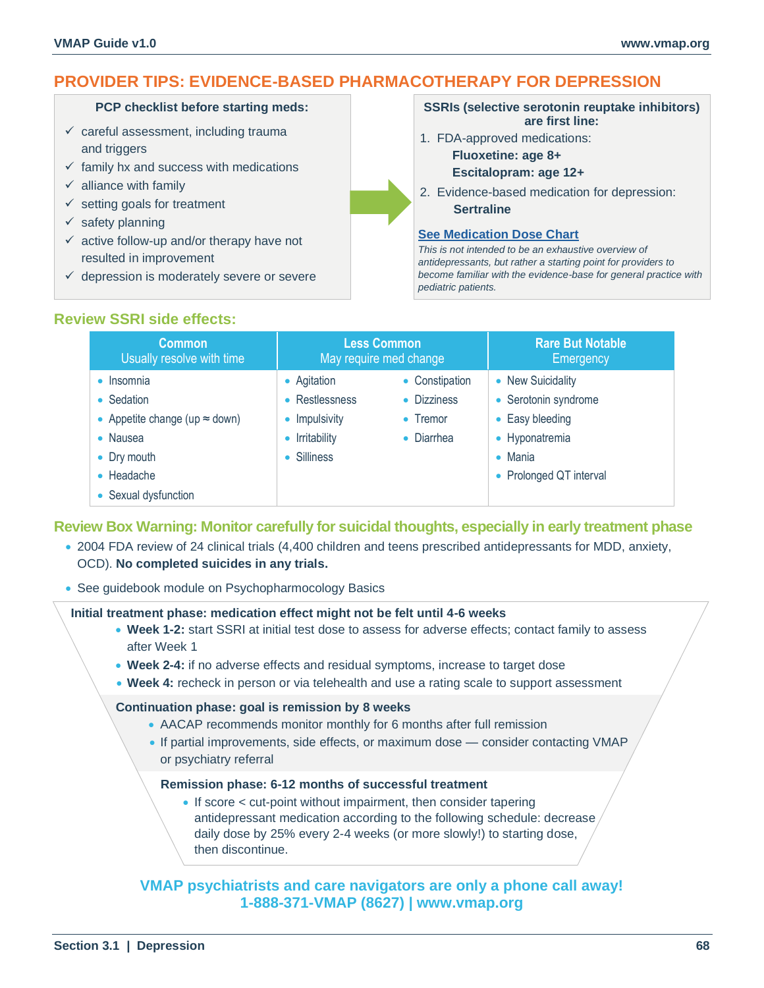# **PROVIDER TIPS: EVIDENCE-BASED PHARMACOTHERAPY FOR DEPRESSION**

#### **PCP checklist before starting meds:**

- $\checkmark$  careful assessment, including trauma and triggers
- $\checkmark$  family hx and success with medications
- $\checkmark$  alliance with family
- $\checkmark$  setting goals for treatment
- $\checkmark$  safety planning
- $\checkmark$  active follow-up and/or therapy have not resulted in improvement
- $\checkmark$  depression is moderately severe or severe

#### **SSRIs (selective serotonin reuptake inhibitors) are first line:**

1. FDA-approved medications:

**Fluoxetine: age 8+ Escitalopram: age 12+** 

2. Evidence-based medication for depression: **Sertraline**

### **[See Medication Dose Chart](#page-5-0)**

*This is not intended to be an exhaustive overview of antidepressants, but rather a starting point for providers to become familiar with the evidence-base for general practice with pediatric patients.* 

## **Review SSRI side effects:**

| <b>Common</b><br>Usually resolve with time | <b>Less Common</b><br>May require med change |                  | <b>Rare But Notable</b><br>Emergency |
|--------------------------------------------|----------------------------------------------|------------------|--------------------------------------|
| • Insomnia                                 | • Agitation                                  | • Constipation   | • New Suicidality                    |
| • Sedation                                 | • Restlessness                               | • Dizziness      | • Serotonin syndrome                 |
| • Appetite change (up $\approx$ down)      | Impulsivity                                  | $\bullet$ Tremor | • Easy bleeding                      |
| • Nausea                                   | Irritability                                 | • Diarrhea       | • Hyponatremia                       |
| • Dry mouth                                | • Silliness                                  |                  | $\bullet$ Mania                      |
| $\bullet$ Headache                         |                                              |                  | • Prolonged QT interval              |
| • Sexual dysfunction                       |                                              |                  |                                      |

### **Review Box Warning: Monitor carefully for suicidal thoughts, especially in early treatment phase**

- 2004 FDA review of 24 clinical trials (4,400 children and teens prescribed antidepressants for MDD, anxiety, OCD). **No completed suicides in any trials.**
- See guidebook module on Psychopharmocology Basics

### **Initial treatment phase: medication effect might not be felt until 4-6 weeks**

- **Week 1-2:** start SSRI at initial test dose to assess for adverse effects; contact family to assess after Week 1
- **Week 2-4:** if no adverse effects and residual symptoms, increase to target dose
- **Week 4:** recheck in person or via telehealth and use a rating scale to support assessment

### **Continuation phase: goal is remission by 8 weeks**

- AACAP recommends monitor monthly for 6 months after full remission
- If partial improvements, side effects, or maximum dose consider contacting VMAP or psychiatry referral

#### **Remission phase: 6-12 months of successful treatment**

• If score < cut-point without impairment, then consider tapering antidepressant medication according to the following schedule: decrease daily dose by 25% every 2-4 weeks (or more slowly!) to starting dose, then discontinue.

## **VMAP psychiatrists and care navigators are only a phone call away! 1-888-371-VMAP (8627) | www.vmap.org**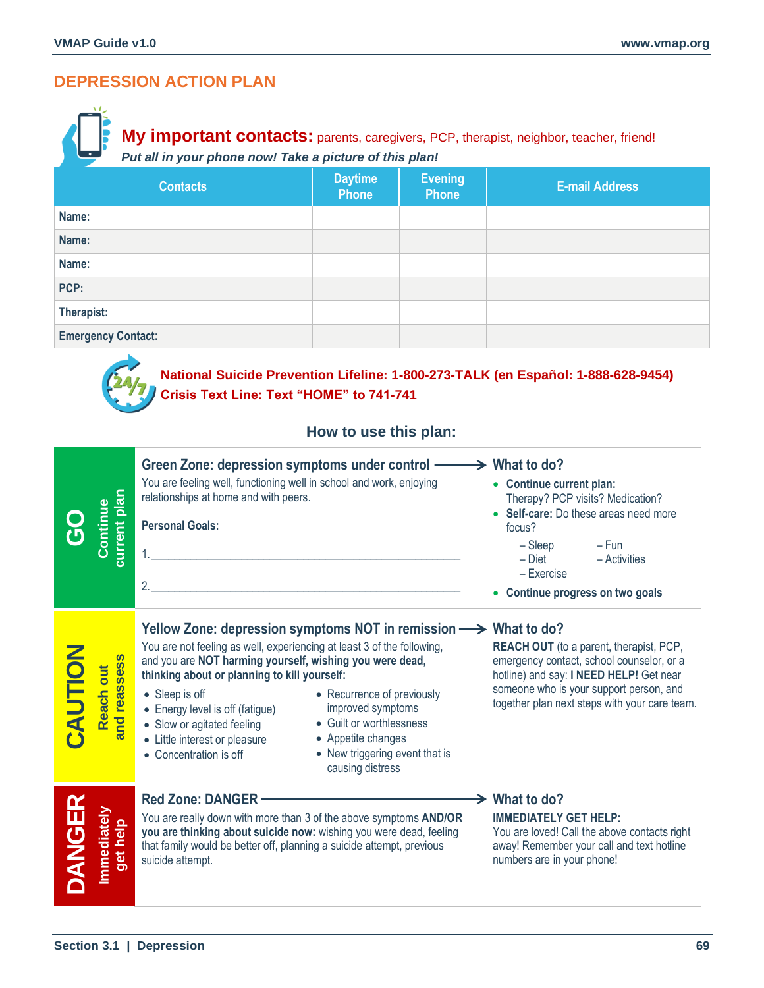# **DEPRESSION ACTION PLAN**

# **My important contacts:** parents, caregivers, PCP, therapist, neighbor, teacher, friend! *Put all in your phone now! Take a picture of this plan!*

| <b>Contacts</b>           | <b>Daytime</b><br><b>Phone</b> | <b>Evening</b><br><b>Phone</b> | <b>E-mail Address</b> |
|---------------------------|--------------------------------|--------------------------------|-----------------------|
| Name:                     |                                |                                |                       |
| Name:                     |                                |                                |                       |
| Name:                     |                                |                                |                       |
| PCP:                      |                                |                                |                       |
| Therapist:                |                                |                                |                       |
| <b>Emergency Contact:</b> |                                |                                |                       |



# **National Suicide Prevention Lifeline: 1-800-273-TALK (en Español: 1-888-628-9454) Crisis Text Line: Text "HOME" to 741-741**

### **How to use this plan:**